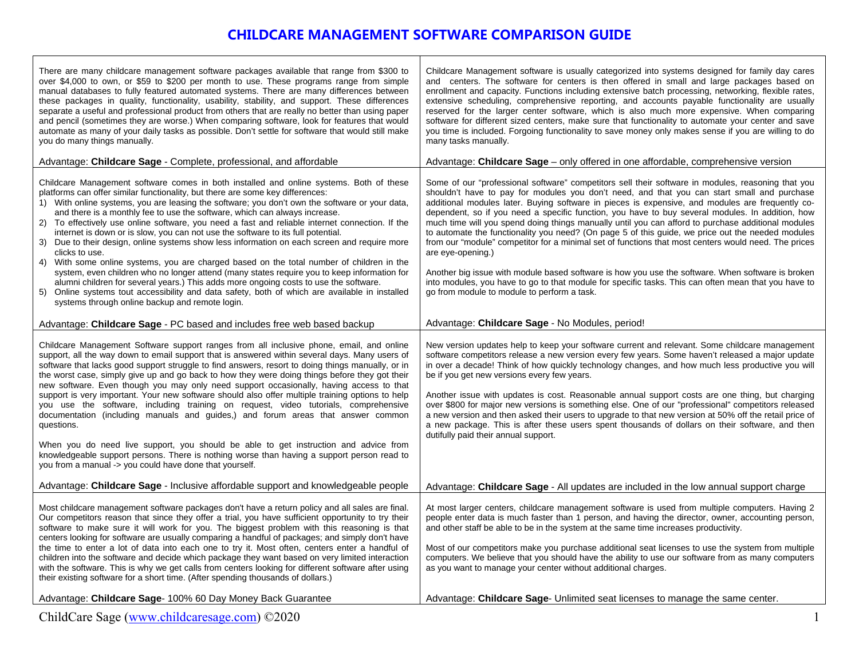# **CHILDCARE MANAGEMENT SOFTWARE COMPARISON GUIDE**

Т

| Some of our "professional software" competitors sell their software in modules, reasoning that you<br>Childcare Management software comes in both installed and online systems. Both of these<br>shouldn't have to pay for modules you don't need, and that you can start small and purchase<br>platforms can offer similar functionality, but there are some key differences:<br>additional modules later. Buying software in pieces is expensive, and modules are frequently co-<br>1) With online systems, you are leasing the software; you don't own the software or your data,<br>and there is a monthly fee to use the software, which can always increase.<br>dependent, so if you need a specific function, you have to buy several modules. In addition, how<br>much time will you spend doing things manually until you can afford to purchase additional modules<br>2) To effectively use online software, you need a fast and reliable internet connection. If the<br>internet is down or is slow, you can not use the software to its full potential.<br>to automate the functionality you need? (On page 5 of this guide, we price out the needed modules<br>Due to their design, online systems show less information on each screen and require more<br>from our "module" competitor for a minimal set of functions that most centers would need. The prices<br>3)<br>clicks to use.<br>are eye-opening.)<br>With some online systems, you are charged based on the total number of children in the<br>4)<br>system, even children who no longer attend (many states require you to keep information for<br>Another big issue with module based software is how you use the software. When software is broken<br>alumni children for several years.) This adds more ongoing costs to use the software.<br>into modules, you have to go to that module for specific tasks. This can often mean that you have to<br>5) Online systems tout accessibility and data safety, both of which are available in installed<br>go from module to module to perform a task.<br>systems through online backup and remote login.<br>Advantage: Childcare Sage - No Modules, period!<br>Advantage: Childcare Sage - PC based and includes free web based backup<br>Childcare Management Software support ranges from all inclusive phone, email, and online<br>New version updates help to keep your software current and relevant. Some childcare management<br>support, all the way down to email support that is answered within several days. Many users of<br>software competitors release a new version every few years. Some haven't released a major update<br>software that lacks good support struggle to find answers, resort to doing things manually, or in<br>in over a decade! Think of how quickly technology changes, and how much less productive you will<br>the worst case, simply give up and go back to how they were doing things before they got their<br>be if you get new versions every few years.<br>new software. Even though you may only need support occasionally, having access to that<br>support is very important. Your new software should also offer multiple training options to help<br>Another issue with updates is cost. Reasonable annual support costs are one thing, but charging<br>over \$800 for major new versions is something else. One of our "professional" competitors released<br>you use the software, including training on request, video tutorials, comprehensive<br>documentation (including manuals and guides,) and forum areas that answer common<br>a new version and then asked their users to upgrade to that new version at 50% off the retail price of<br>a new package. This is after these users spent thousands of dollars on their software, and then<br>questions.<br>dutifully paid their annual support.<br>When you do need live support, you should be able to get instruction and advice from<br>knowledgeable support persons. There is nothing worse than having a support person read to<br>you from a manual -> you could have done that yourself.<br>Advantage: Childcare Sage - Inclusive affordable support and knowledgeable people<br>Advantage: Childcare Sage - All updates are included in the low annual support charge<br>Most childcare management software packages don't have a return policy and all sales are final.<br>At most larger centers, childcare management software is used from multiple computers. Having 2<br>Our competitors reason that since they offer a trial, you have sufficient opportunity to try their<br>people enter data is much faster than 1 person, and having the director, owner, accounting person,<br>software to make sure it will work for you. The biggest problem with this reasoning is that<br>and other staff be able to be in the system at the same time increases productivity.<br>centers looking for software are usually comparing a handful of packages; and simply don't have | There are many childcare management software packages available that range from \$300 to<br>over \$4,000 to own, or \$59 to \$200 per month to use. These programs range from simple<br>manual databases to fully featured automated systems. There are many differences between<br>these packages in quality, functionality, usability, stability, and support. These differences<br>separate a useful and professional product from others that are really no better than using paper<br>and pencil (sometimes they are worse.) When comparing software, look for features that would<br>automate as many of your daily tasks as possible. Don't settle for software that would still make<br>you do many things manually. | Childcare Management software is usually categorized into systems designed for family day cares<br>and centers. The software for centers is then offered in small and large packages based on<br>enrollment and capacity. Functions including extensive batch processing, networking, flexible rates,<br>extensive scheduling, comprehensive reporting, and accounts payable functionality are usually<br>reserved for the larger center software, which is also much more expensive. When comparing<br>software for different sized centers, make sure that functionality to automate your center and save<br>you time is included. Forgoing functionality to save money only makes sense if you are willing to do<br>many tasks manually. |
|-----------------------------------------------------------------------------------------------------------------------------------------------------------------------------------------------------------------------------------------------------------------------------------------------------------------------------------------------------------------------------------------------------------------------------------------------------------------------------------------------------------------------------------------------------------------------------------------------------------------------------------------------------------------------------------------------------------------------------------------------------------------------------------------------------------------------------------------------------------------------------------------------------------------------------------------------------------------------------------------------------------------------------------------------------------------------------------------------------------------------------------------------------------------------------------------------------------------------------------------------------------------------------------------------------------------------------------------------------------------------------------------------------------------------------------------------------------------------------------------------------------------------------------------------------------------------------------------------------------------------------------------------------------------------------------------------------------------------------------------------------------------------------------------------------------------------------------------------------------------------------------------------------------------------------------------------------------------------------------------------------------------------------------------------------------------------------------------------------------------------------------------------------------------------------------------------------------------------------------------------------------------------------------------------------------------------------------------------------------------------------------------------------------------------------------------------------------------------------------------------------------------------------------------------------------------------------------------------------------------------------------------------------------------------------------------------------------------------------------------------------------------------------------------------------------------------------------------------------------------------------------------------------------------------------------------------------------------------------------------------------------------------------------------------------------------------------------------------------------------------------------------------------------------------------------------------------------------------------------------------------------------------------------------------------------------------------------------------------------------------------------------------------------------------------------------------------------------------------------------------------------------------------------------------------------------------------------------------------------------------------------------------------------------------------------------------------------------------------------------------------------------------------------------------------------------------------------------------------------------------------------------------------------------------------------------------------------------------------------------------------------------------------------------------------------------------------------------------------------------------------------------------------------------------------------------------------------------------------------------------------------------------------------------------------------------------------------------------------------------------------------------------------------------------------------------------------------------------------------------------------------------------------------------------------------------------------------------------------------------------------------------------------------------------------------------------------------------------------------------------------------------------------------------------------------------------------------------------------------------------------------------------------------------------------------------------------------------------------------------------------------------------------------|------------------------------------------------------------------------------------------------------------------------------------------------------------------------------------------------------------------------------------------------------------------------------------------------------------------------------------------------------------------------------------------------------------------------------------------------------------------------------------------------------------------------------------------------------------------------------------------------------------------------------------------------------------------------------------------------------------------------------|---------------------------------------------------------------------------------------------------------------------------------------------------------------------------------------------------------------------------------------------------------------------------------------------------------------------------------------------------------------------------------------------------------------------------------------------------------------------------------------------------------------------------------------------------------------------------------------------------------------------------------------------------------------------------------------------------------------------------------------------|
|                                                                                                                                                                                                                                                                                                                                                                                                                                                                                                                                                                                                                                                                                                                                                                                                                                                                                                                                                                                                                                                                                                                                                                                                                                                                                                                                                                                                                                                                                                                                                                                                                                                                                                                                                                                                                                                                                                                                                                                                                                                                                                                                                                                                                                                                                                                                                                                                                                                                                                                                                                                                                                                                                                                                                                                                                                                                                                                                                                                                                                                                                                                                                                                                                                                                                                                                                                                                                                                                                                                                                                                                                                                                                                                                                                                                                                                                                                                                                                                                                                                                                                                                                                                                                                                                                                                                                                                                                                                                                                                                                                                                                                                                                                                                                                                                                                                                                                                                                                                                                                   | Advantage: Childcare Sage - Complete, professional, and affordable                                                                                                                                                                                                                                                                                                                                                                                                                                                                                                                                                                                                                                                           | Advantage: Childcare Sage – only offered in one affordable, comprehensive version                                                                                                                                                                                                                                                                                                                                                                                                                                                                                                                                                                                                                                                           |
|                                                                                                                                                                                                                                                                                                                                                                                                                                                                                                                                                                                                                                                                                                                                                                                                                                                                                                                                                                                                                                                                                                                                                                                                                                                                                                                                                                                                                                                                                                                                                                                                                                                                                                                                                                                                                                                                                                                                                                                                                                                                                                                                                                                                                                                                                                                                                                                                                                                                                                                                                                                                                                                                                                                                                                                                                                                                                                                                                                                                                                                                                                                                                                                                                                                                                                                                                                                                                                                                                                                                                                                                                                                                                                                                                                                                                                                                                                                                                                                                                                                                                                                                                                                                                                                                                                                                                                                                                                                                                                                                                                                                                                                                                                                                                                                                                                                                                                                                                                                                                                   |                                                                                                                                                                                                                                                                                                                                                                                                                                                                                                                                                                                                                                                                                                                              |                                                                                                                                                                                                                                                                                                                                                                                                                                                                                                                                                                                                                                                                                                                                             |
|                                                                                                                                                                                                                                                                                                                                                                                                                                                                                                                                                                                                                                                                                                                                                                                                                                                                                                                                                                                                                                                                                                                                                                                                                                                                                                                                                                                                                                                                                                                                                                                                                                                                                                                                                                                                                                                                                                                                                                                                                                                                                                                                                                                                                                                                                                                                                                                                                                                                                                                                                                                                                                                                                                                                                                                                                                                                                                                                                                                                                                                                                                                                                                                                                                                                                                                                                                                                                                                                                                                                                                                                                                                                                                                                                                                                                                                                                                                                                                                                                                                                                                                                                                                                                                                                                                                                                                                                                                                                                                                                                                                                                                                                                                                                                                                                                                                                                                                                                                                                                                   |                                                                                                                                                                                                                                                                                                                                                                                                                                                                                                                                                                                                                                                                                                                              |                                                                                                                                                                                                                                                                                                                                                                                                                                                                                                                                                                                                                                                                                                                                             |
|                                                                                                                                                                                                                                                                                                                                                                                                                                                                                                                                                                                                                                                                                                                                                                                                                                                                                                                                                                                                                                                                                                                                                                                                                                                                                                                                                                                                                                                                                                                                                                                                                                                                                                                                                                                                                                                                                                                                                                                                                                                                                                                                                                                                                                                                                                                                                                                                                                                                                                                                                                                                                                                                                                                                                                                                                                                                                                                                                                                                                                                                                                                                                                                                                                                                                                                                                                                                                                                                                                                                                                                                                                                                                                                                                                                                                                                                                                                                                                                                                                                                                                                                                                                                                                                                                                                                                                                                                                                                                                                                                                                                                                                                                                                                                                                                                                                                                                                                                                                                                                   |                                                                                                                                                                                                                                                                                                                                                                                                                                                                                                                                                                                                                                                                                                                              |                                                                                                                                                                                                                                                                                                                                                                                                                                                                                                                                                                                                                                                                                                                                             |
|                                                                                                                                                                                                                                                                                                                                                                                                                                                                                                                                                                                                                                                                                                                                                                                                                                                                                                                                                                                                                                                                                                                                                                                                                                                                                                                                                                                                                                                                                                                                                                                                                                                                                                                                                                                                                                                                                                                                                                                                                                                                                                                                                                                                                                                                                                                                                                                                                                                                                                                                                                                                                                                                                                                                                                                                                                                                                                                                                                                                                                                                                                                                                                                                                                                                                                                                                                                                                                                                                                                                                                                                                                                                                                                                                                                                                                                                                                                                                                                                                                                                                                                                                                                                                                                                                                                                                                                                                                                                                                                                                                                                                                                                                                                                                                                                                                                                                                                                                                                                                                   |                                                                                                                                                                                                                                                                                                                                                                                                                                                                                                                                                                                                                                                                                                                              |                                                                                                                                                                                                                                                                                                                                                                                                                                                                                                                                                                                                                                                                                                                                             |
| children into the software and decide which package they want based on very limited interaction<br>computers. We believe that you should have the ability to use our software from as many computers<br>with the software. This is why we get calls from centers looking for different software after using<br>as you want to manage your center without additional charges.<br>their existing software for a short time. (After spending thousands of dollars.)                                                                                                                                                                                                                                                                                                                                                                                                                                                                                                                                                                                                                                                                                                                                                                                                                                                                                                                                                                                                                                                                                                                                                                                                                                                                                                                                                                                                                                                                                                                                                                                                                                                                                                                                                                                                                                                                                                                                                                                                                                                                                                                                                                                                                                                                                                                                                                                                                                                                                                                                                                                                                                                                                                                                                                                                                                                                                                                                                                                                                                                                                                                                                                                                                                                                                                                                                                                                                                                                                                                                                                                                                                                                                                                                                                                                                                                                                                                                                                                                                                                                                                                                                                                                                                                                                                                                                                                                                                                                                                                                                                  | the time to enter a lot of data into each one to try it. Most often, centers enter a handful of                                                                                                                                                                                                                                                                                                                                                                                                                                                                                                                                                                                                                              | Most of our competitors make you purchase additional seat licenses to use the system from multiple                                                                                                                                                                                                                                                                                                                                                                                                                                                                                                                                                                                                                                          |
| Advantage: Childcare Sage- 100% 60 Day Money Back Guarantee<br>Advantage: Childcare Sage- Unlimited seat licenses to manage the same center.                                                                                                                                                                                                                                                                                                                                                                                                                                                                                                                                                                                                                                                                                                                                                                                                                                                                                                                                                                                                                                                                                                                                                                                                                                                                                                                                                                                                                                                                                                                                                                                                                                                                                                                                                                                                                                                                                                                                                                                                                                                                                                                                                                                                                                                                                                                                                                                                                                                                                                                                                                                                                                                                                                                                                                                                                                                                                                                                                                                                                                                                                                                                                                                                                                                                                                                                                                                                                                                                                                                                                                                                                                                                                                                                                                                                                                                                                                                                                                                                                                                                                                                                                                                                                                                                                                                                                                                                                                                                                                                                                                                                                                                                                                                                                                                                                                                                                      |                                                                                                                                                                                                                                                                                                                                                                                                                                                                                                                                                                                                                                                                                                                              |                                                                                                                                                                                                                                                                                                                                                                                                                                                                                                                                                                                                                                                                                                                                             |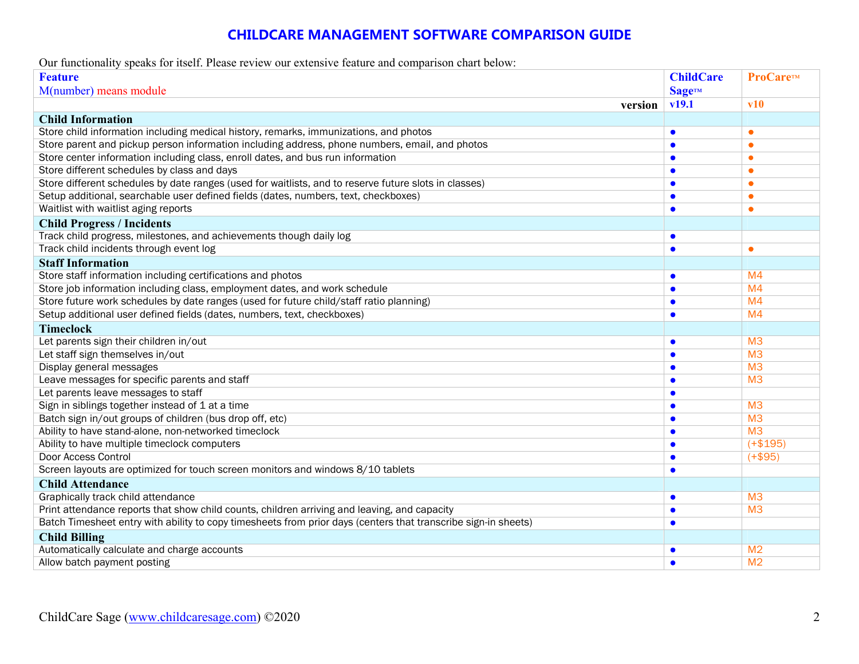# **CHILDCARE MANAGEMENT SOFTWARE COMPARISON GUIDE**

Our functionality speaks for itself. Please review our extensive feature and comparison chart below:

| <b>Feature</b>                                                                                                 | <b>ChildCare</b> | ProCare™       |
|----------------------------------------------------------------------------------------------------------------|------------------|----------------|
| M(number) means module                                                                                         | <b>SageTM</b>    |                |
| version                                                                                                        | v19.1            | $\bf v10$      |
| <b>Child Information</b>                                                                                       |                  |                |
| Store child information including medical history, remarks, immunizations, and photos                          | $\bullet$        | $\bullet$      |
| Store parent and pickup person information including address, phone numbers, email, and photos                 | $\bullet$        | ۰              |
| Store center information including class, enroll dates, and bus run information                                | G                | $\bullet$      |
| Store different schedules by class and days                                                                    | C                | ٠              |
| Store different schedules by date ranges (used for waitlists, and to reserve future slots in classes)          | $\bullet$        | $\bullet$      |
| Setup additional, searchable user defined fields (dates, numbers, text, checkboxes)                            | C                | ٠              |
| Waitlist with waitlist aging reports                                                                           | $\bullet$        | $\bullet$      |
| <b>Child Progress / Incidents</b>                                                                              |                  |                |
| Track child progress, milestones, and achievements though daily log                                            | $\bullet$        |                |
| Track child incidents through event log                                                                        | $\bullet$        | ۰              |
| <b>Staff Information</b>                                                                                       |                  |                |
| Store staff information including certifications and photos                                                    | $\bullet$        | M <sub>4</sub> |
| Store job information including class, employment dates, and work schedule                                     | $\bullet$        | M <sub>4</sub> |
| Store future work schedules by date ranges (used for future child/staff ratio planning)                        | $\bullet$        | M <sub>4</sub> |
| Setup additional user defined fields (dates, numbers, text, checkboxes)                                        | $\bullet$        | M <sub>4</sub> |
| <b>Timeclock</b>                                                                                               |                  |                |
| Let parents sign their children in/out                                                                         | $\bullet$        | M <sub>3</sub> |
| Let staff sign themselves in/out                                                                               | $\bullet$        | M <sub>3</sub> |
| Display general messages                                                                                       | $\bullet$        | M <sub>3</sub> |
| Leave messages for specific parents and staff                                                                  | $\bullet$        | M <sub>3</sub> |
| Let parents leave messages to staff                                                                            | $\bullet$        |                |
| Sign in siblings together instead of 1 at a time                                                               | $\bullet$        | M <sub>3</sub> |
| Batch sign in/out groups of children (bus drop off, etc)                                                       | G                | M <sub>3</sub> |
| Ability to have stand-alone, non-networked timeclock                                                           | $\bullet$        | M <sub>3</sub> |
| Ability to have multiple timeclock computers                                                                   | C                | $(+$195)$      |
| Door Access Control                                                                                            | C                | $(+$95)$       |
| Screen layouts are optimized for touch screen monitors and windows 8/10 tablets                                | C                |                |
| <b>Child Attendance</b>                                                                                        |                  |                |
| Graphically track child attendance                                                                             | $\bullet$        | M <sup>3</sup> |
| Print attendance reports that show child counts, children arriving and leaving, and capacity                   | $\bullet$        | M <sub>3</sub> |
| Batch Timesheet entry with ability to copy timesheets from prior days (centers that transcribe sign-in sheets) | $\bullet$        |                |
| <b>Child Billing</b>                                                                                           |                  |                |
| Automatically calculate and charge accounts                                                                    | $\bullet$        | M <sub>2</sub> |
| Allow batch payment posting                                                                                    | $\bullet$        | M <sub>2</sub> |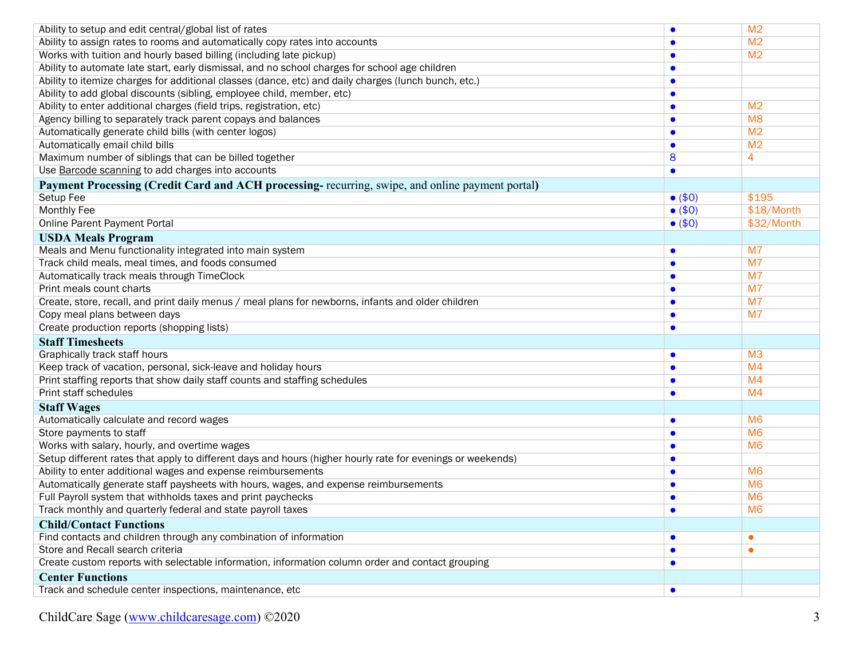| Ability to setup and edit central/global list of rates                                                     | $\bullet$       | M <sub>2</sub> |
|------------------------------------------------------------------------------------------------------------|-----------------|----------------|
| Ability to assign rates to rooms and automatically copy rates into accounts                                |                 | M <sub>2</sub> |
| Works with tuition and hourly based billing (including late pickup)                                        |                 | M <sub>2</sub> |
| Ability to automate late start, early dismissal, and no school charges for school age children             | O               |                |
| Ability to itemize charges for additional classes (dance, etc) and daily charges (lunch bunch, etc.)       | $\bullet$       |                |
| Ability to add global discounts (sibling, employee child, member, etc)                                     | $\bullet$       |                |
| Ability to enter additional charges (field trips, registration, etc)                                       | $\bullet$       | M <sub>2</sub> |
| Agency billing to separately track parent copays and balances                                              | $\bullet$       | M <sub>8</sub> |
| Automatically generate child bills (with center logos)                                                     |                 | M <sub>2</sub> |
| Automatically email child bills                                                                            | $\bullet$       | M <sub>2</sub> |
| Maximum number of siblings that can be billed together                                                     | 8               | 4              |
| Use Barcode scanning to add charges into accounts                                                          | $\bullet$       |                |
| Payment Processing (Credit Card and ACH processing- recurring, swipe, and online payment portal)           |                 |                |
| Setup Fee                                                                                                  | $\bullet$ (\$0) | \$195          |
| <b>Monthly Fee</b>                                                                                         | $\bullet$ (\$0) | \$18/Month     |
| Online Parent Payment Portal                                                                               | $\bullet$ (\$0) | \$32/Month     |
| <b>USDA Meals Program</b>                                                                                  |                 |                |
| Meals and Menu functionality integrated into main system                                                   | $\bullet$       | M <sub>7</sub> |
| Track child meals, meal times, and foods consumed                                                          | $\bullet$       | M <sub>7</sub> |
| Automatically track meals through TimeClock                                                                |                 | M <sub>7</sub> |
| Print meals count charts                                                                                   |                 | M <sub>7</sub> |
| Create, store, recall, and print daily menus / meal plans for newborns, infants and older children         | $\bullet$       | M <sub>7</sub> |
| Copy meal plans between days                                                                               | $\bullet$       | M <sub>7</sub> |
| Create production reports (shopping lists)                                                                 | $\bullet$       |                |
| <b>Staff Timesheets</b>                                                                                    |                 |                |
| Graphically track staff hours                                                                              | $\bullet$       | M <sub>3</sub> |
| Keep track of vacation, personal, sick-leave and holiday hours                                             | $\bullet$       | M <sub>4</sub> |
| Print staffing reports that show daily staff counts and staffing schedules                                 | $\bullet$       | M <sub>4</sub> |
| Print staff schedules                                                                                      | $\bullet$       | M <sub>4</sub> |
| <b>Staff Wages</b>                                                                                         |                 |                |
| Automatically calculate and record wages                                                                   | $\bullet$       | M <sub>6</sub> |
| Store payments to staff                                                                                    | $\bullet$       | M <sub>6</sub> |
| Works with salary, hourly, and overtime wages                                                              | $\bullet$       | M <sub>6</sub> |
| Setup different rates that apply to different days and hours (higher hourly rate for evenings or weekends) | $\bullet$       |                |
| Ability to enter additional wages and expense reimbursements                                               | $\bullet$       | M <sub>6</sub> |
| Automatically generate staff paysheets with hours, wages, and expense reimbursements                       | $\bullet$       | M <sub>6</sub> |
| Full Payroll system that withholds taxes and print paychecks                                               | $\bullet$       | M <sub>6</sub> |
| Track monthly and quarterly federal and state payroll taxes                                                |                 | M <sub>6</sub> |
| <b>Child/Contact Functions</b>                                                                             |                 |                |
| Find contacts and children through any combination of information                                          | $\bullet$       | $\bullet$      |
| Store and Recall search criteria                                                                           |                 | $\bullet$      |
| Create custom reports with selectable information, information column order and contact grouping           |                 |                |
| <b>Center Functions</b>                                                                                    |                 |                |
| Track and schedule center inspections, maintenance, etc                                                    | $\bullet$       |                |
|                                                                                                            |                 |                |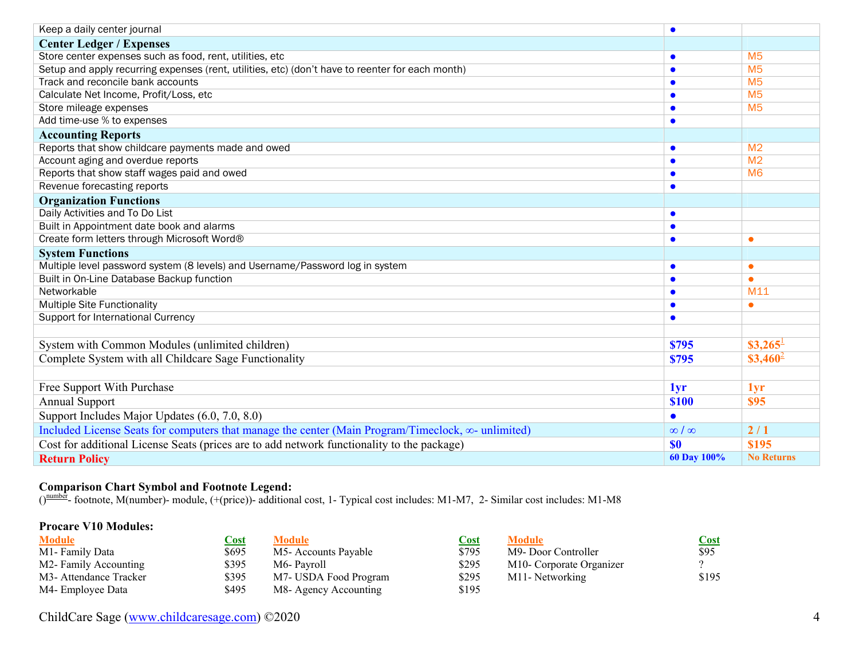| Keep a daily center journal                                                                        | $\bullet$    |                       |
|----------------------------------------------------------------------------------------------------|--------------|-----------------------|
| <b>Center Ledger / Expenses</b>                                                                    |              |                       |
| Store center expenses such as food, rent, utilities, etc                                           | $\bullet$    | M <sub>5</sub>        |
| Setup and apply recurring expenses (rent, utilities, etc) (don't have to reenter for each month)   | $\bullet$    | M <sub>5</sub>        |
| Track and reconcile bank accounts                                                                  | $\bullet$    | M <sub>5</sub>        |
| Calculate Net Income, Profit/Loss, etc                                                             | $\bullet$    | M <sub>5</sub>        |
| Store mileage expenses                                                                             | $\bullet$    | M <sub>5</sub>        |
| Add time-use % to expenses                                                                         | $\bullet$    |                       |
| <b>Accounting Reports</b>                                                                          |              |                       |
| Reports that show childcare payments made and owed                                                 | $\bullet$    | M <sub>2</sub>        |
| Account aging and overdue reports                                                                  | $\bullet$    | M <sub>2</sub>        |
| Reports that show staff wages paid and owed                                                        | $\bullet$    | M <sub>6</sub>        |
| Revenue forecasting reports                                                                        | $\bullet$    |                       |
| <b>Organization Functions</b>                                                                      |              |                       |
| Daily Activities and To Do List                                                                    | $\bullet$    |                       |
| Built in Appointment date book and alarms                                                          | $\bullet$    |                       |
| Create form letters through Microsoft Word®                                                        | $\bullet$    | $\bullet$             |
| <b>System Functions</b>                                                                            |              |                       |
| Multiple level password system (8 levels) and Username/Password log in system                      | $\bullet$    | $\bullet$             |
| Built in On-Line Database Backup function                                                          | $\bullet$    | $\bullet$             |
| Networkable                                                                                        |              | M11                   |
| <b>Multiple Site Functionality</b>                                                                 |              | $\bullet$             |
| Support for International Currency                                                                 |              |                       |
|                                                                                                    |              |                       |
| System with Common Modules (unlimited children)                                                    | <b>\$795</b> | $$3,265$ <sup>1</sup> |
| Complete System with all Childcare Sage Functionality                                              |              | $$3,460^2$            |
|                                                                                                    |              |                       |
| Free Support With Purchase                                                                         | 1yr          | 1yr                   |
| <b>Annual Support</b>                                                                              |              | \$95                  |
| Support Includes Major Updates (6.0, 7.0, 8.0)                                                     |              |                       |
| Included License Seats for computers that manage the center (Main Program/Timeclock, ∞- unlimited) |              | 2/1                   |
| Cost for additional License Seats (prices are to add network functionality to the package)         |              | \$195                 |
| <b>Return Policy</b>                                                                               | 60 Day 100%  | <b>No Returns</b>     |

## **Comparison Chart Symbol and Footnote Legend:**

 $()$ <sup>number</sup>- footnote, M(number)- module, (+(price))- additional cost, 1- Typical cost includes: M1-M7, 2- Similar cost includes: M1-M8

### **Procare V10 Modules:**

| <b>Module</b>                      | Cost  | Module                | <u>Cost</u> | <b>Module</b>            | Cost  |
|------------------------------------|-------|-----------------------|-------------|--------------------------|-------|
| M1-Family Data                     | \$695 | M5- Accounts Payable  | \$795       | M9- Door Controller      | \$95  |
| M2-Family Accounting               | \$395 | M6-Pavroll            | \$295       | M10- Corporate Organizer |       |
| M <sub>3</sub> -Attendance Tracker | \$395 | M7- USDA Food Program | \$295       | M11- Networking          | \$195 |
| M4- Employee Data                  | \$495 | M8- Agency Accounting | \$195       |                          |       |